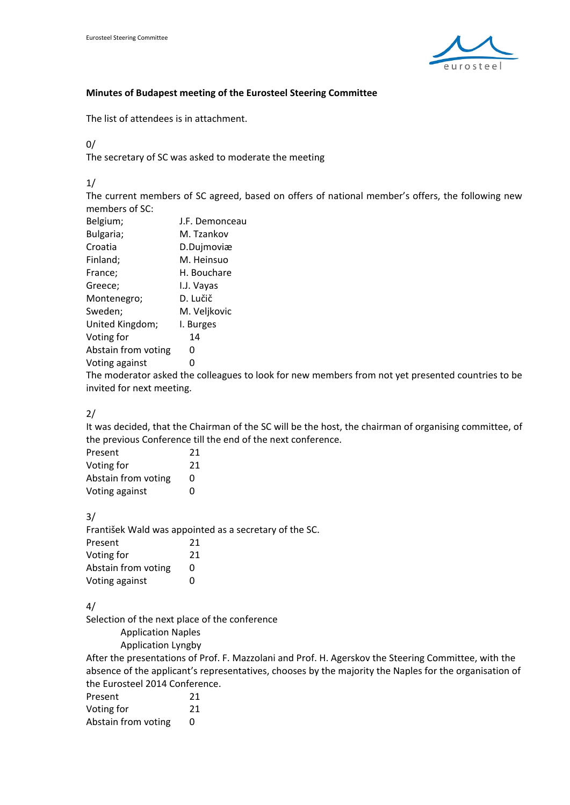

## **Minutes of Budapest meeting of the Eurosteel Steering Committee**

The list of attendees is in attachment.

0/

The secretary of SC was asked to moderate the meeting

1/

The current members of SC agreed, based on offers of national member's offers, the following new members of SC:

| Belgium;            | J.F. Demonceau |
|---------------------|----------------|
| Bulgaria;           | M. Tzankov     |
| Croatia             | D.Dujmoviæ     |
| Finland;            | M. Heinsuo     |
| France;             | H. Bouchare    |
| Greece;             | I.J. Vayas     |
| Montenegro;         | D. Lučič       |
| Sweden;             | M. Veljkovic   |
| United Kingdom;     | I. Burges      |
| Voting for          | 14             |
| Abstain from voting | O              |
| Voting against      | 0              |
|                     |                |

The moderator asked the colleagues to look for new members from not yet presented countries to be invited for next meeting.

2/

It was decided, that the Chairman of the SC will be the host, the chairman of organising committee, of the previous Conference till the end of the next conference.

| Present             | 21 |
|---------------------|----|
| Voting for          | 21 |
| Abstain from voting | O  |
| Voting against      | ŋ  |

3/

František Wald was appointed as a secretary of the SC.

| Present             | 21 |
|---------------------|----|
| Voting for          | 21 |
| Abstain from voting | O  |
| Voting against      | O  |

4/

Selection of the next place of the conference

Application Naples

Application Lyngby

After the presentations of Prof. F. Mazzolani and Prof. H. Agerskov the Steering Committee, with the absence of the applicant's representatives, chooses by the majority the Naples for the organisation of the Eurosteel 2014 Conference.

| Present             | 21 |
|---------------------|----|
| Voting for          | 21 |
| Abstain from voting | 0  |